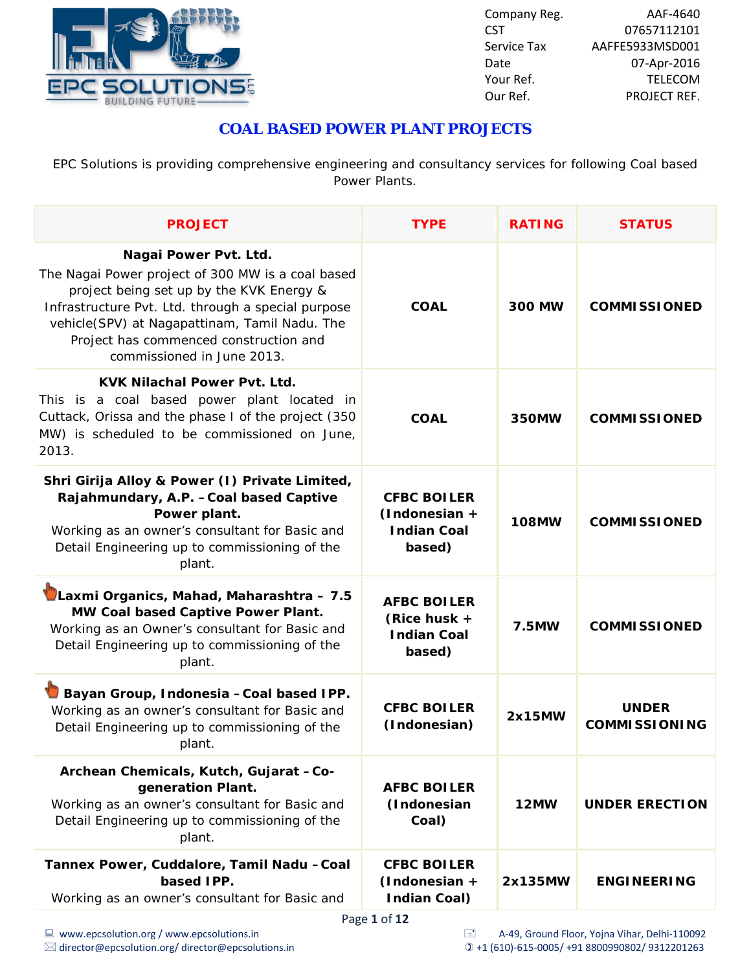

### **COAL BASED POWER PLANT PROJECTS**

EPC Solutions is providing comprehensive engineering and consultancy services for following Coal based Power Plants.

| <b>PROJECT</b>                                                                                                                                                                                                                                                                                        | <b>TYPE</b>                                                          | <b>RATING</b> | <b>STATUS</b>                        |
|-------------------------------------------------------------------------------------------------------------------------------------------------------------------------------------------------------------------------------------------------------------------------------------------------------|----------------------------------------------------------------------|---------------|--------------------------------------|
| Nagai Power Pvt. Ltd.<br>The Nagai Power project of 300 MW is a coal based<br>project being set up by the KVK Energy &<br>Infrastructure Pvt. Ltd. through a special purpose<br>vehicle(SPV) at Nagapattinam, Tamil Nadu. The<br>Project has commenced construction and<br>commissioned in June 2013. | <b>COAL</b>                                                          | <b>300 MW</b> | <b>COMMISSIONED</b>                  |
| <b>KVK Nilachal Power Pyt. Ltd.</b><br>This is a coal based power plant located in<br>Cuttack, Orissa and the phase I of the project (350<br>MW) is scheduled to be commissioned on June,<br>2013.                                                                                                    | <b>COAL</b>                                                          | 350MW         | <b>COMMISSIONED</b>                  |
| Shri Girija Alloy & Power (I) Private Limited,<br>Rajahmundary, A.P. - Coal based Captive<br>Power plant.<br>Working as an owner's consultant for Basic and<br>Detail Engineering up to commissioning of the<br>plant.                                                                                | <b>CFBC BOILER</b><br>$(Indonesia +$<br><b>Indian Coal</b><br>based) | <b>108MW</b>  | <b>COMMISSIONED</b>                  |
| Laxmi Organics, Mahad, Maharashtra - 7.5<br>MW Coal based Captive Power Plant.<br>Working as an Owner's consultant for Basic and<br>Detail Engineering up to commissioning of the<br>plant.                                                                                                           | <b>AFBC BOILER</b><br>(Rice husk +<br><b>Indian Coal</b><br>based)   | 7.5MW         | <b>COMMISSIONED</b>                  |
| Bayan Group, Indonesia - Coal based IPP.<br>Working as an owner's consultant for Basic and<br>Detail Engineering up to commissioning of the<br>plant.                                                                                                                                                 | <b>CFBC BOILER</b><br>(Indonesian)                                   | 2x15MW        | <b>UNDER</b><br><b>COMMISSIONING</b> |
| Archean Chemicals, Kutch, Gujarat -Co-<br>generation Plant.<br>Working as an owner's consultant for Basic and<br>Detail Engineering up to commissioning of the<br>plant.                                                                                                                              | <b>AFBC BOILER</b><br>(Indonesian<br>Coal)                           | 12MW          | <b>UNDER ERECTION</b>                |
| Tannex Power, Cuddalore, Tamil Nadu -Coal<br>based IPP.<br>Working as an owner's consultant for Basic and                                                                                                                                                                                             | <b>CFBC BOILER</b><br>(Indonesian +<br><b>Indian Coal)</b>           | 2x135MW       | <b>ENGINEERING</b>                   |

Page **1** of **12**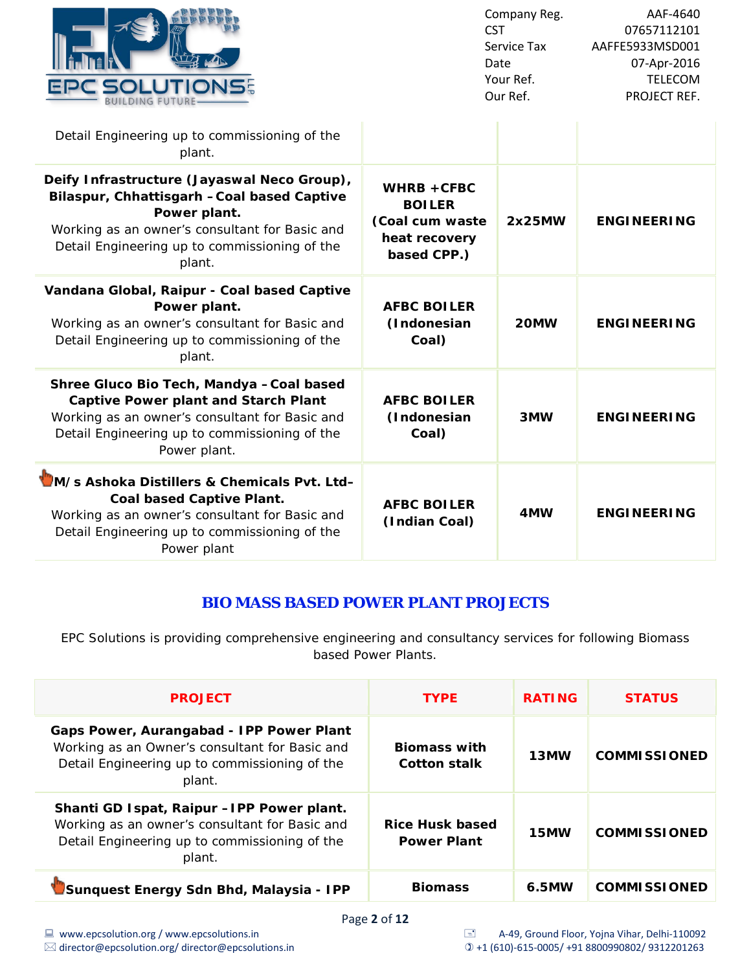

| Detail Engineering up to commissioning of the<br>plant.                                                                                                                                                                 |                                                                                   |        |                    |
|-------------------------------------------------------------------------------------------------------------------------------------------------------------------------------------------------------------------------|-----------------------------------------------------------------------------------|--------|--------------------|
| Deify Infrastructure (Jayaswal Neco Group),<br>Bilaspur, Chhattisgarh - Coal based Captive<br>Power plant.<br>Working as an owner's consultant for Basic and<br>Detail Engineering up to commissioning of the<br>plant. | $WHRB + CFBC$<br><b>BOILER</b><br>(Coal cum waste<br>heat recovery<br>based CPP.) | 2x25MW | <b>ENGINEERING</b> |
| Vandana Global, Raipur - Coal based Captive<br>Power plant.<br>Working as an owner's consultant for Basic and<br>Detail Engineering up to commissioning of the<br>plant.                                                | <b>AFBC BOILER</b><br>(Indonesian<br>Coal)                                        | 20MW   | <b>ENGINEERING</b> |
| Shree Gluco Bio Tech, Mandya - Coal based<br><b>Captive Power plant and Starch Plant</b><br>Working as an owner's consultant for Basic and<br>Detail Engineering up to commissioning of the<br>Power plant.             | <b>AFBC BOILER</b><br>(Indonesian<br>Coal)                                        | 3MW    | <b>ENGINEERING</b> |
| M/s Ashoka Distillers & Chemicals Pvt. Ltd-<br><b>Coal based Captive Plant.</b><br>Working as an owner's consultant for Basic and<br>Detail Engineering up to commissioning of the<br>Power plant                       | <b>AFBC BOILER</b><br>(Indian Coal)                                               | 4MW    | <b>ENGINEERING</b> |

### **BIO MASS BASED POWER PLANT PROJECTS**

EPC Solutions is providing comprehensive engineering and consultancy services for following Biomass based Power Plants.

| <b>PROJECT</b>                                                                                                                                          | <b>TYPE</b>                                  | <b>RATING</b> | <b>STATUS</b>       |
|---------------------------------------------------------------------------------------------------------------------------------------------------------|----------------------------------------------|---------------|---------------------|
| Gaps Power, Aurangabad - IPP Power Plant<br>Working as an Owner's consultant for Basic and<br>Detail Engineering up to commissioning of the<br>plant.   | <b>Biomass with</b><br><b>Cotton stalk</b>   | 13MW          | <b>COMMISSIONED</b> |
| Shanti GD Ispat, Raipur - IPP Power plant.<br>Working as an owner's consultant for Basic and<br>Detail Engineering up to commissioning of the<br>plant. | <b>Rice Husk based</b><br><b>Power Plant</b> | 15MW          | <b>COMMISSIONED</b> |
| Sunquest Energy Sdn Bhd, Malaysia - IPP                                                                                                                 | <b>Biomass</b>                               | 6.5MW         | <b>COMMISSIONED</b> |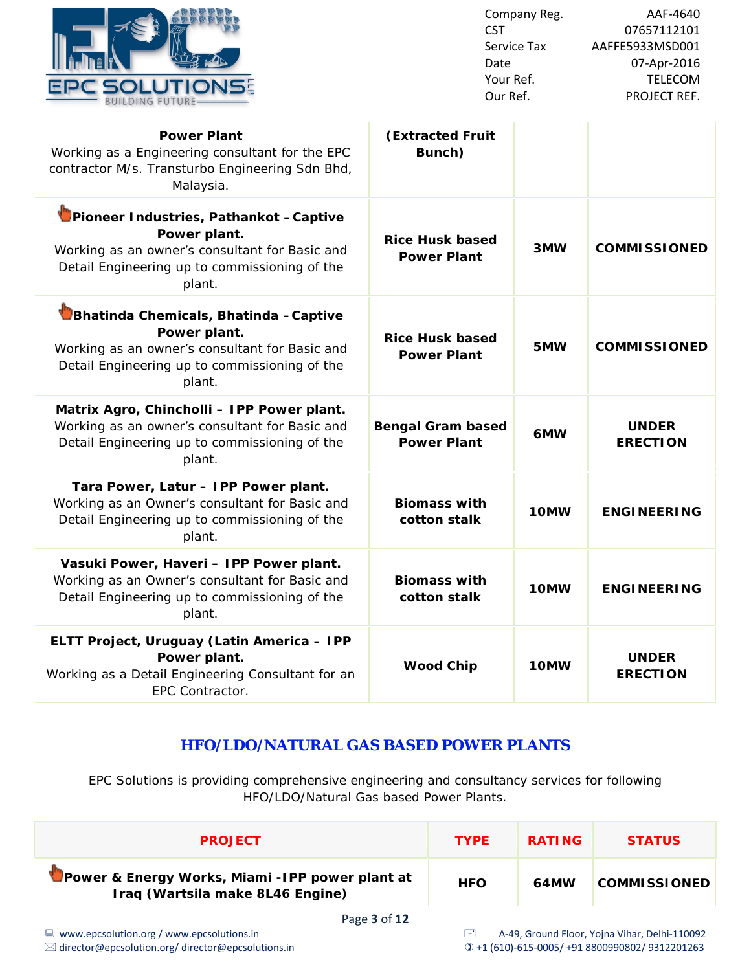

| EPC SOLI                                                                                                                                                             | <b>CST</b><br>Date<br>Your Ref.<br>Our Ref.    | Company Reg.<br>Service Tax | AAF-4640<br>07657112101<br>AAFFE5933MSD001<br>07-Apr-2016<br><b>TELECOM</b><br>PROJECT REF. |
|----------------------------------------------------------------------------------------------------------------------------------------------------------------------|------------------------------------------------|-----------------------------|---------------------------------------------------------------------------------------------|
| <b>Power Plant</b><br>Working as a Engineering consultant for the EPC<br>contractor M/s. Transturbo Engineering Sdn Bhd,<br>Malaysia.                                | <b>(Extracted Fruit</b><br>Bunch)              |                             |                                                                                             |
| Pioneer Industries, Pathankot - Captive<br>Power plant.<br>Working as an owner's consultant for Basic and<br>Detail Engineering up to commissioning of the<br>plant. | <b>Rice Husk based</b><br><b>Power Plant</b>   | 3MW                         | <b>COMMISSIONED</b>                                                                         |
| Bhatinda Chemicals, Bhatinda - Captive<br>Power plant.<br>Working as an owner's consultant for Basic and<br>Detail Engineering up to commissioning of the<br>plant.  | <b>Rice Husk based</b><br><b>Power Plant</b>   | 5MW                         | <b>COMMISSIONED</b>                                                                         |
| Matrix Agro, Chincholli - IPP Power plant.<br>Working as an owner's consultant for Basic and<br>Detail Engineering up to commissioning of the<br>plant.              | <b>Bengal Gram based</b><br><b>Power Plant</b> | 6MW                         | <b>UNDER</b><br><b>ERECTION</b>                                                             |

**cotton stalk 10MW ENGINEERING**

**cotton stalk 10MW ENGINEERING**

#### **Tara Power, Latur – IPP Power plant.**

Working as an Owner's consultant for Basic and Detail Engineering up to commissioning of the plant.

**Vasuki Power, Haveri – IPP Power plant.**

Working as an Owner's consultant for Basic and Detail Engineering up to commissioning of the plant.

**ELTT Project, Uruguay (Latin America – IPP Power plant.**

Working as a Detail Engineering Consultant for an EPC Contractor.

#### **Wood Chip 10MW UNDER ERECTION**

### **HFO/LDO/NATURAL GAS BASED POWER PLANTS**

**Biomass with** 

**Biomass with** 

EPC Solutions is providing comprehensive engineering and consultancy services for following HFO/LDO/Natural Gas based Power Plants.

| <b>PROJECT</b>                                                                       | <b>TYPF</b> | <b>RATING</b> | <b>STATUS</b>       |
|--------------------------------------------------------------------------------------|-------------|---------------|---------------------|
| Power & Energy Works, Miami - IPP power plant at<br>Iraq (Wartsila make 8L46 Engine) | <b>HFO</b>  | 64MW          | <b>COMMISSIONED</b> |
| $P_1, P_2, P_3, P_4, P_5$                                                            |             |               |                     |

Page **3** of **12**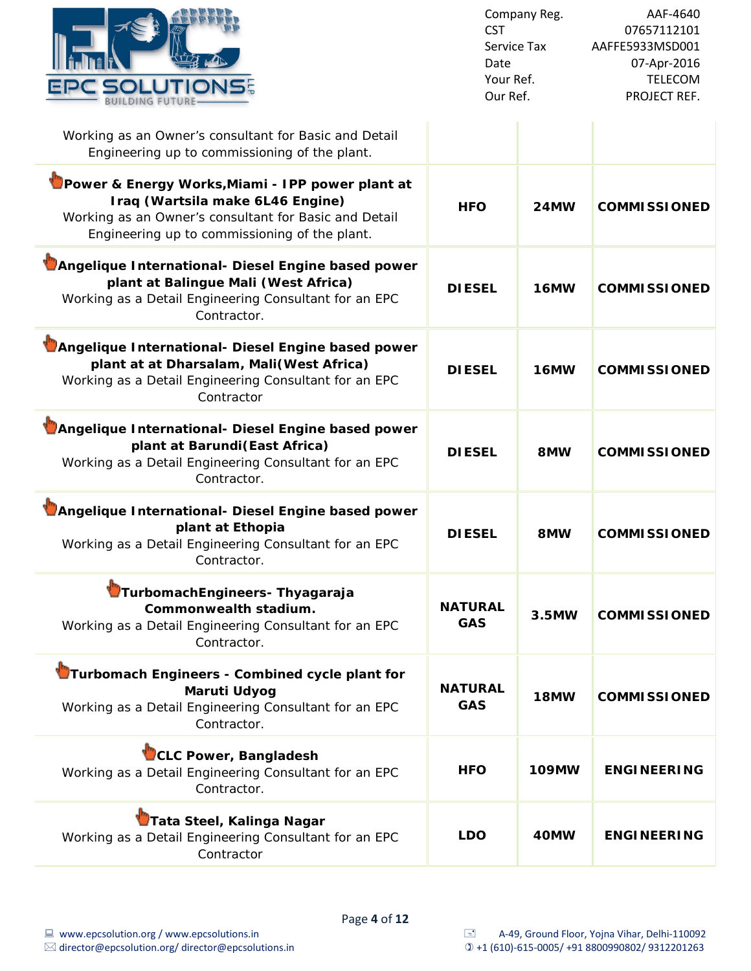

÷

| Working as an Owner's consultant for Basic and Detail<br>Engineering up to commissioning of the plant.                                                                                         |                              |              |                     |
|------------------------------------------------------------------------------------------------------------------------------------------------------------------------------------------------|------------------------------|--------------|---------------------|
| Power & Energy Works, Miami - IPP power plant at<br>Iraq (Wartsila make 6L46 Engine)<br>Working as an Owner's consultant for Basic and Detail<br>Engineering up to commissioning of the plant. | <b>HFO</b>                   | <b>24MW</b>  | <b>COMMISSIONED</b> |
| Angelique International- Diesel Engine based power<br>plant at Balingue Mali (West Africa)<br>Working as a Detail Engineering Consultant for an EPC<br>Contractor.                             | <b>DIESEL</b>                | <b>16MW</b>  | <b>COMMISSIONED</b> |
| Angelique International- Diesel Engine based power<br>plant at at Dharsalam, Mali(West Africa)<br>Working as a Detail Engineering Consultant for an EPC<br>Contractor                          | <b>DIESEL</b>                | 16MW         | <b>COMMISSIONED</b> |
| Angelique International- Diesel Engine based power<br>plant at Barundi (East Africa)<br>Working as a Detail Engineering Consultant for an EPC<br>Contractor.                                   | <b>DIESEL</b>                | 8MW          | <b>COMMISSIONED</b> |
| Angelique International- Diesel Engine based power<br>plant at Ethopia<br>Working as a Detail Engineering Consultant for an EPC<br>Contractor.                                                 | <b>DIESEL</b>                | 8MW          | <b>COMMISSIONED</b> |
| TurbomachEngineers- Thyagaraja<br>Commonwealth stadium.<br>Working as a Detail Engineering Consultant for an EPC<br>Contractor.                                                                | <b>NATURAL</b><br><b>GAS</b> | 3.5MW        | <b>COMMISSIONED</b> |
| Turbomach Engineers - Combined cycle plant for<br>Maruti Udyog<br>Working as a Detail Engineering Consultant for an EPC<br>Contractor.                                                         | <b>NATURAL</b><br><b>GAS</b> | 18MW         | <b>COMMISSIONED</b> |
| CLC Power, Bangladesh<br>Working as a Detail Engineering Consultant for an EPC<br>Contractor.                                                                                                  | <b>HFO</b>                   | <b>109MW</b> | <b>ENGINEERING</b>  |
| Tata Steel, Kalinga Nagar<br>Working as a Detail Engineering Consultant for an EPC<br>Contractor                                                                                               | <b>LDO</b>                   | 40MW         | <b>ENGINEERING</b>  |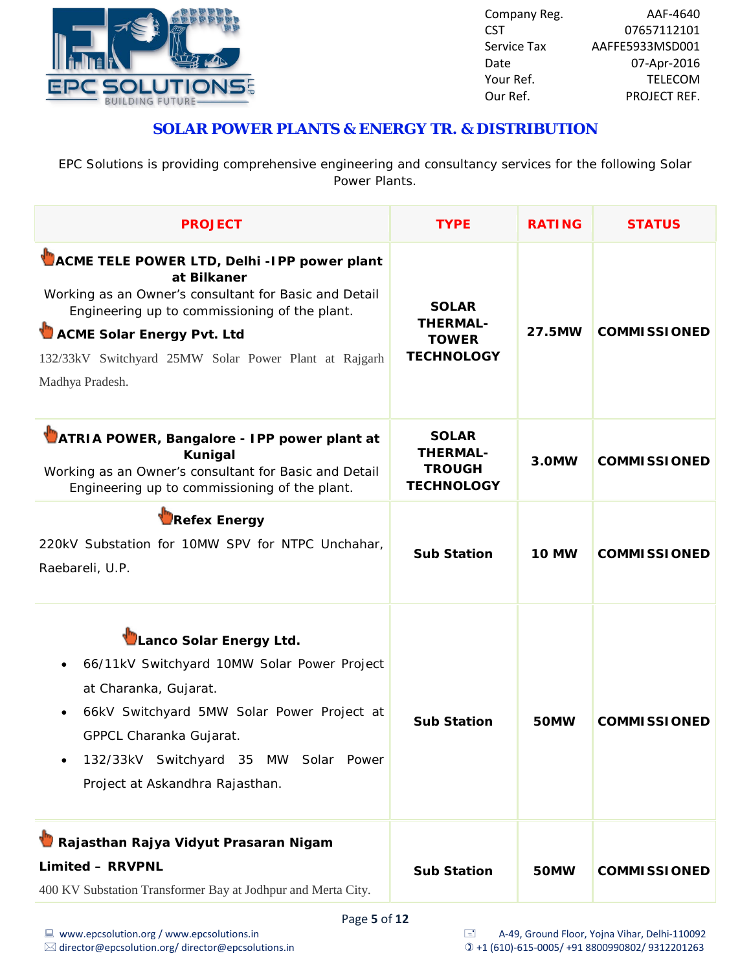

## **SOLAR POWER PLANTS & ENERGY TR. & DISTRIBUTION**

EPC Solutions is providing comprehensive engineering and consultancy services for the following Solar Power Plants.

| <b>PROJECT</b>                                                                                                                                                                                                                                                                 | <b>TYPE</b>                                                           | <b>RATING</b> | <b>STATUS</b>       |
|--------------------------------------------------------------------------------------------------------------------------------------------------------------------------------------------------------------------------------------------------------------------------------|-----------------------------------------------------------------------|---------------|---------------------|
| ACME TELE POWER LTD, Delhi -IPP power plant<br>at Bilkaner<br>Working as an Owner's consultant for Basic and Detail<br>Engineering up to commissioning of the plant.<br>ACME Solar Energy Pvt. Ltd<br>132/33kV Switchyard 25MW Solar Power Plant at Rajgarh<br>Madhya Pradesh. | <b>SOLAR</b><br><b>THERMAL-</b><br><b>TOWER</b><br><b>TECHNOLOGY</b>  | 27.5MW        | <b>COMMISSIONED</b> |
| ATRIA POWER, Bangalore - IPP power plant at<br><b>Kunigal</b><br>Working as an Owner's consultant for Basic and Detail<br>Engineering up to commissioning of the plant.                                                                                                        | <b>SOLAR</b><br><b>THERMAL-</b><br><b>TROUGH</b><br><b>TECHNOLOGY</b> | 3.0MW         | <b>COMMISSIONED</b> |
| <b>Refex Energy</b><br>220kV Substation for 10MW SPV for NTPC Unchahar,<br>Raebareli, U.P.                                                                                                                                                                                     | <b>Sub Station</b>                                                    | <b>10 MW</b>  | <b>COMMISSIONED</b> |
| Lanco Solar Energy Ltd.<br>66/11kV Switchyard 10MW Solar Power Project<br>at Charanka, Gujarat.<br>66kV Switchyard 5MW Solar Power Project at<br>GPPCL Charanka Gujarat.<br>132/33kV Switchyard 35 MW Solar Power<br>Project at Askandhra Rajasthan.                           | <b>Sub Station</b>                                                    | 50MW          | <b>COMMISSIONED</b> |
| Rajasthan Rajya Vidyut Prasaran Nigam<br><b>Limited - RRVPNL</b><br>400 KV Substation Transformer Bay at Jodhpur and Merta City.                                                                                                                                               | <b>Sub Station</b>                                                    | 50MW          | <b>COMMISSIONED</b> |
| Page 5 of 12                                                                                                                                                                                                                                                                   |                                                                       |               |                     |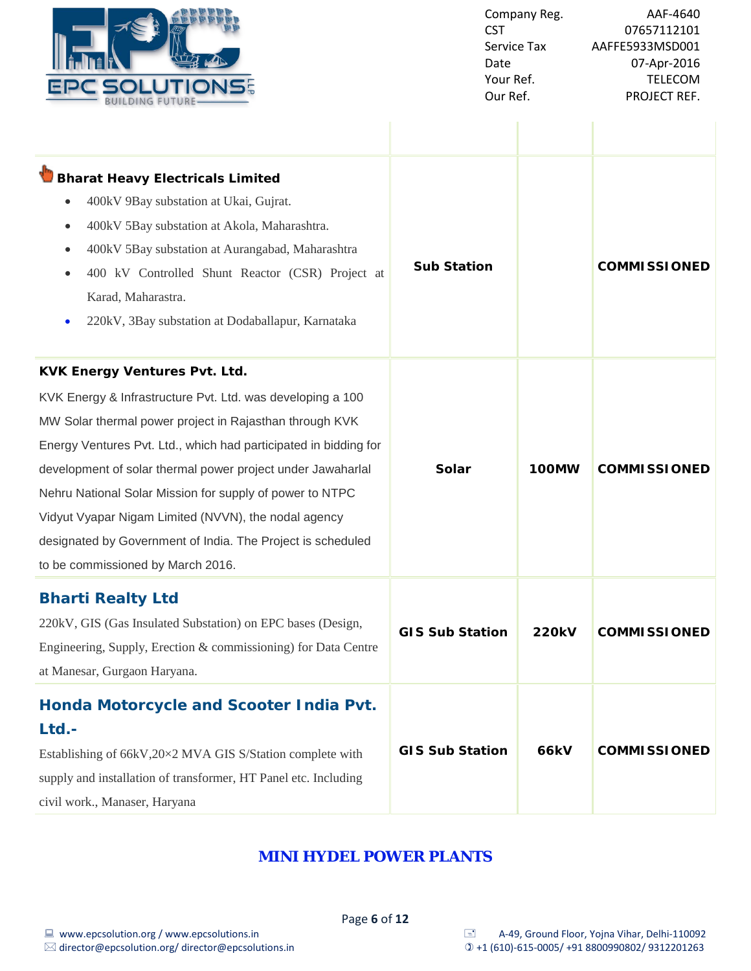

| <b>Bharat Heavy Electricals Limited</b><br>400kV 9Bay substation at Ukai, Gujrat.<br>400kV 5Bay substation at Akola, Maharashtra.<br>400kV 5Bay substation at Aurangabad, Maharashtra<br>$\bullet$<br>400 kV Controlled Shunt Reactor (CSR) Project at<br>Karad, Maharastra.<br>220kV, 3Bay substation at Dodaballapur, Karnataka                                                                                                                                                                                        | <b>Sub Station</b>     |              | <b>COMMISSIONED</b> |
|--------------------------------------------------------------------------------------------------------------------------------------------------------------------------------------------------------------------------------------------------------------------------------------------------------------------------------------------------------------------------------------------------------------------------------------------------------------------------------------------------------------------------|------------------------|--------------|---------------------|
| <b>KVK Energy Ventures Pvt. Ltd.</b><br>KVK Energy & Infrastructure Pvt. Ltd. was developing a 100<br>MW Solar thermal power project in Rajasthan through KVK<br>Energy Ventures Pvt. Ltd., which had participated in bidding for<br>development of solar thermal power project under Jawaharlal<br>Nehru National Solar Mission for supply of power to NTPC<br>Vidyut Vyapar Nigam Limited (NVVN), the nodal agency<br>designated by Government of India. The Project is scheduled<br>to be commissioned by March 2016. | Solar                  | 100MW        | <b>COMMISSIONED</b> |
| <b>Bharti Realty Ltd</b><br>220kV, GIS (Gas Insulated Substation) on EPC bases (Design,<br>Engineering, Supply, Erection & commissioning) for Data Centre<br>at Manesar, Gurgaon Haryana.                                                                                                                                                                                                                                                                                                                                | <b>GIS Sub Station</b> | <b>220kV</b> | <b>COMMISSIONED</b> |
| Honda Motorcycle and Scooter India Pvt.<br>Ltd.-<br>Establishing of 66kV,20×2 MVA GIS S/Station complete with<br>supply and installation of transformer, HT Panel etc. Including<br>civil work., Manaser, Haryana                                                                                                                                                                                                                                                                                                        | <b>GIS Sub Station</b> | <b>66kV</b>  | <b>COMMISSIONED</b> |

# **MINI HYDEL POWER PLANTS**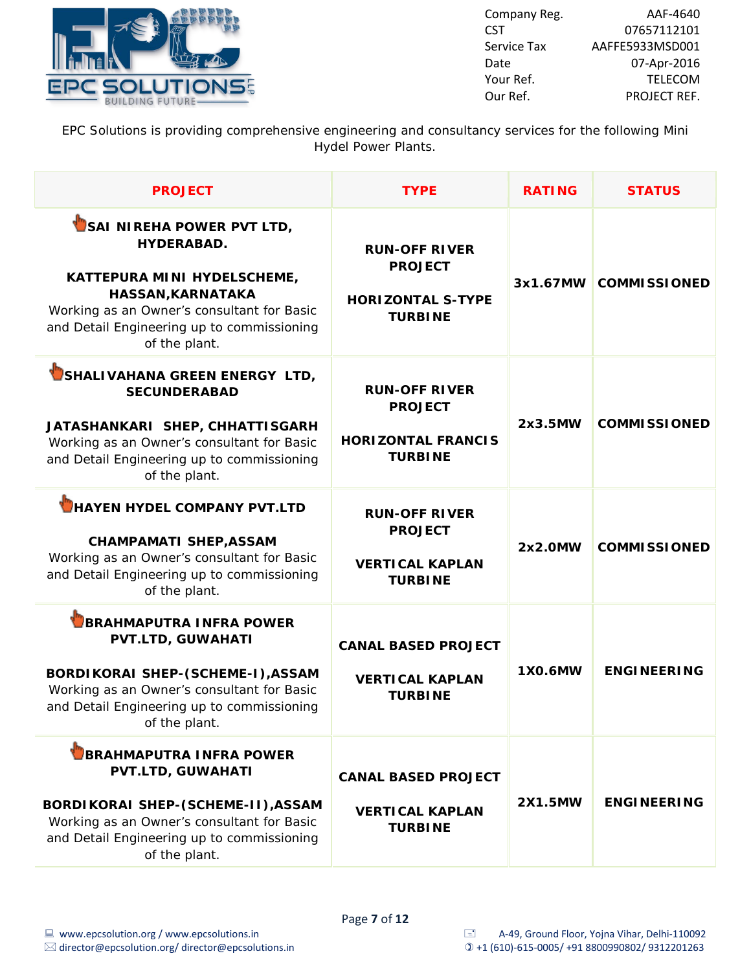

| Company Reg. | AAF-4640        |
|--------------|-----------------|
| <b>CST</b>   | 07657112101     |
| Service Tax  | AAFFE5933MSD001 |
| Date         | 07-Apr-2016     |
| Your Ref.    | <b>TFLFCOM</b>  |
| Our Ref.     | PROJECT REF.    |

EPC Solutions is providing comprehensive engineering and consultancy services for the following Mini Hydel Power Plants.

| <b>PROJECT</b>                                                                                                                                                                                                  | <b>TYPE</b>                                                                           | <b>RATING</b>  | <b>STATUS</b>       |
|-----------------------------------------------------------------------------------------------------------------------------------------------------------------------------------------------------------------|---------------------------------------------------------------------------------------|----------------|---------------------|
| SAI NIREHA POWER PVT LTD,<br><b>HYDERABAD.</b><br>KATTEPURA MINI HYDELSCHEME,<br>HASSAN, KARNATAKA<br>Working as an Owner's consultant for Basic<br>and Detail Engineering up to commissioning<br>of the plant. | <b>RUN-OFF RIVER</b><br><b>PROJECT</b><br><b>HORIZONTAL S-TYPE</b><br><b>TURBINE</b>  | 3x1.67MW       | <b>COMMISSIONED</b> |
| SHALIVAHANA GREEN ENERGY LTD,<br><b>SECUNDERABAD</b><br>JATASHANKARI SHEP, CHHATTISGARH<br>Working as an Owner's consultant for Basic<br>and Detail Engineering up to commissioning<br>of the plant.            | <b>RUN-OFF RIVER</b><br><b>PROJECT</b><br><b>HORIZONTAL FRANCIS</b><br><b>TURBINE</b> | 2x3.5MW        | <b>COMMISSIONED</b> |
| HAYEN HYDEL COMPANY PVT.LTD<br><b>CHAMPAMATI SHEP, ASSAM</b><br>Working as an Owner's consultant for Basic<br>and Detail Engineering up to commissioning<br>of the plant.                                       | <b>RUN-OFF RIVER</b><br><b>PROJECT</b><br><b>VERTICAL KAPLAN</b><br><b>TURBINE</b>    | 2x2.0MW        | <b>COMMISSIONED</b> |
| <b>BRAHMAPUTRA INFRA POWER</b><br>PVT.LTD, GUWAHATI<br>BORDIKORAI SHEP-(SCHEME-I), ASSAM<br>Working as an Owner's consultant for Basic<br>and Detail Engineering up to commissioning<br>of the plant.           | <b>CANAL BASED PROJECT</b><br><b>VERTICAL KAPLAN</b><br><b>TURBINE</b>                | 1X0.6MW        | <b>ENGINEERING</b>  |
| <b>BRAHMAPUTRA INFRA POWER</b><br>PVT.LTD, GUWAHATI<br>BORDIKORAI SHEP-(SCHEME-II), ASSAM<br>Working as an Owner's consultant for Basic<br>and Detail Engineering up to commissioning<br>of the plant.          | <b>CANAL BASED PROJECT</b><br><b>VERTICAL KAPLAN</b><br><b>TURBINE</b>                | <b>2X1.5MW</b> | <b>ENGINEERING</b>  |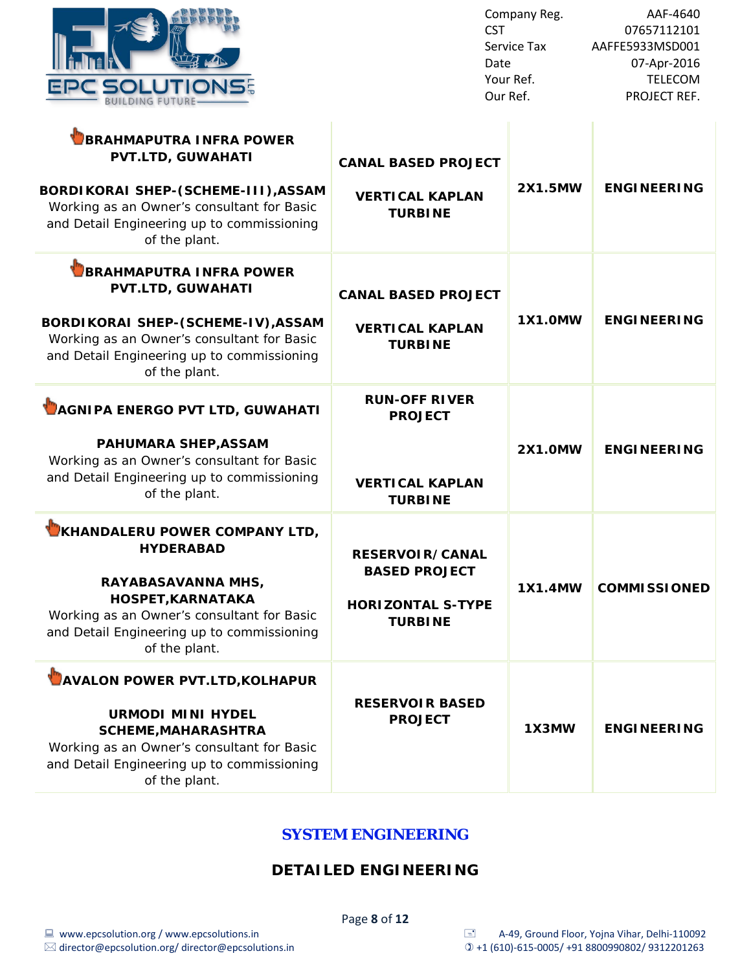| <b>fullid</b> f |                         |                |  |
|-----------------|-------------------------|----------------|--|
|                 | <b>BUILDING FUTURE-</b> | <b>OLUTION</b> |  |

T

| <b>BRAHMAPUTRA INFRA POWER</b><br><b>PVT.LTD, GUWAHATI</b><br>BORDIKORAI SHEP-(SCHEME-III), ASSAM<br>Working as an Owner's consultant for Basic<br>and Detail Engineering up to commissioning<br>of the plant.   | <b>CANAL BASED PROJECT</b><br><b>VERTICAL KAPLAN</b><br><b>TURBINE</b>                       | 2X1.5MW        | <b>ENGINEERING</b>  |
|------------------------------------------------------------------------------------------------------------------------------------------------------------------------------------------------------------------|----------------------------------------------------------------------------------------------|----------------|---------------------|
| <b>BRAHMAPUTRA INFRA POWER</b><br><b>PVT.LTD, GUWAHATI</b><br>BORDIKORAI SHEP-(SCHEME-IV), ASSAM<br>Working as an Owner's consultant for Basic<br>and Detail Engineering up to commissioning<br>of the plant.    | <b>CANAL BASED PROJECT</b><br><b>VERTICAL KAPLAN</b><br><b>TURBINE</b>                       | <b>1X1.0MW</b> | <b>ENGINEERING</b>  |
| AGNIPA ENERGO PVT LTD, GUWAHATI<br><b>PAHUMARA SHEP, ASSAM</b><br>Working as an Owner's consultant for Basic<br>and Detail Engineering up to commissioning<br>of the plant.                                      | <b>RUN-OFF RIVER</b><br><b>PROJECT</b><br><b>VERTICAL KAPLAN</b><br><b>TURBINE</b>           | <b>2X1.0MW</b> | <b>ENGINEERING</b>  |
| KHANDALERU POWER COMPANY LTD,<br><b>HYDERABAD</b><br>RAYABASAVANNA MHS,<br><b>HOSPET, KARNATAKA</b><br>Working as an Owner's consultant for Basic<br>and Detail Engineering up to commissioning<br>of the plant. | <b>RESERVOIR/CANAL</b><br><b>BASED PROJECT</b><br><b>HORIZONTAL S-TYPE</b><br><b>TURBINE</b> | <b>1X1.4MW</b> | <b>COMMISSIONED</b> |
| <b>AVALON POWER PVT.LTD, KOLHAPUR</b><br><b>URMODI MINI HYDEL</b><br><b>SCHEME, MAHARASHTRA</b><br>Working as an Owner's consultant for Basic<br>and Detail Engineering up to commissioning<br>of the plant.     | <b>RESERVOIR BASED</b><br><b>PROJECT</b>                                                     | 1X3MW          | <b>ENGINEERING</b>  |

#### **SYSTEM ENGINEERING**

### **DETAILED ENGINEERING**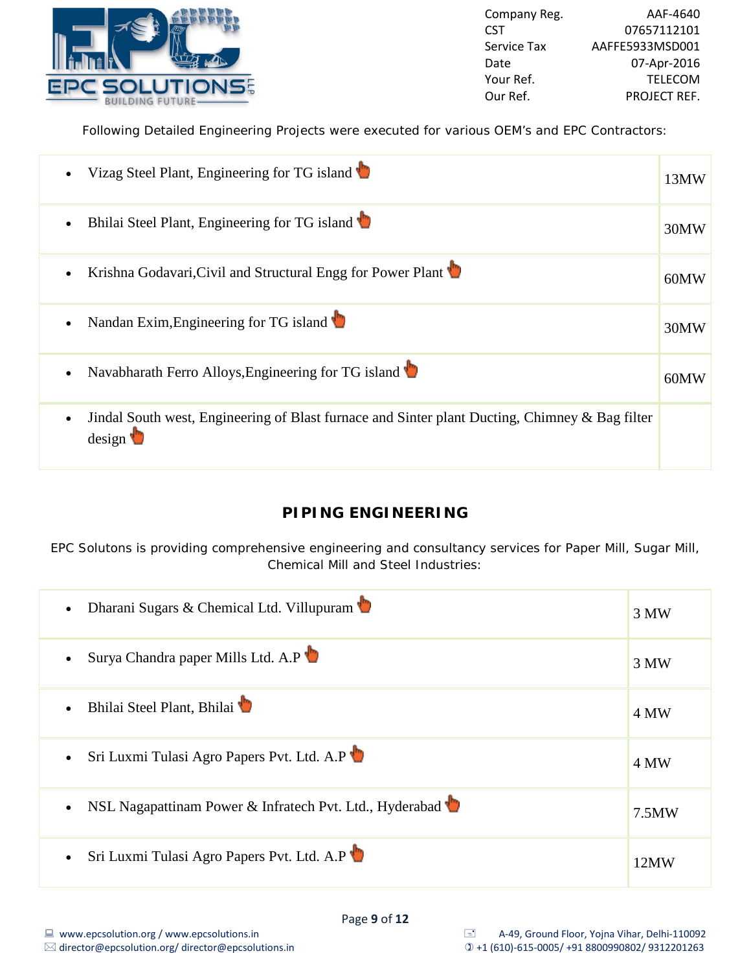

Following Detailed Engineering Projects were executed for various OEM's and EPC Contractors:

| $\bullet$ | Vizag Steel Plant, Engineering for TG island                                                                           | 13MW |
|-----------|------------------------------------------------------------------------------------------------------------------------|------|
| $\bullet$ | Bhilai Steel Plant, Engineering for TG island                                                                          | 30MW |
| $\bullet$ | Krishna Godavari, Civil and Structural Engg for Power Plant                                                            | 60MW |
| $\bullet$ | Nandan Exim, Engineering for TG island                                                                                 | 30MW |
| $\bullet$ | Navabharath Ferro Alloys, Engineering for TG island                                                                    | 60MW |
| $\bullet$ | Jindal South west, Engineering of Blast furnace and Sinter plant Ducting, Chimney & Bag filter<br>$\frac{1}{2}$ design |      |

## **PIPING ENGINEERING**

EPC Solutons is providing comprehensive engineering and consultancy services for Paper Mill, Sugar Mill, Chemical Mill and Steel Industries:

| Dharani Sugars & Chemical Ltd. Villupuram               | 3 MW  |
|---------------------------------------------------------|-------|
| Surya Chandra paper Mills Ltd. A.P                      | 3 MW  |
| Bhilai Steel Plant, Bhilai                              | 4 MW  |
| Sri Luxmi Tulasi Agro Papers Pvt. Ltd. A.P              | 4 MW  |
| NSL Nagapattinam Power & Infratech Pvt. Ltd., Hyderabad | 7.5MW |
| Sri Luxmi Tulasi Agro Papers Pvt. Ltd. A.P              | 12MW  |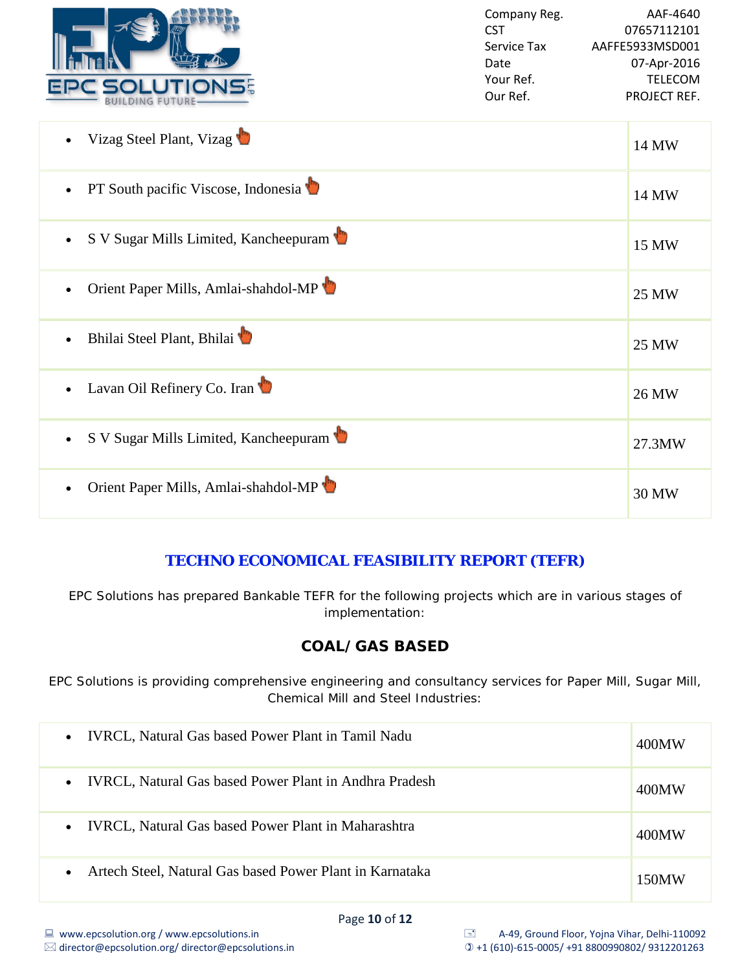

| Vizag Steel Plant, Vizag              | 14 MW  |
|---------------------------------------|--------|
| PT South pacific Viscose, Indonesia   | 14 MW  |
| S V Sugar Mills Limited, Kancheepuram | 15 MW  |
| Orient Paper Mills, Amlai-shahdol-MP  | 25 MW  |
| Bhilai Steel Plant, Bhilai            | 25 MW  |
| Lavan Oil Refinery Co. Iran           | 26 MW  |
| S V Sugar Mills Limited, Kancheepuram | 27.3MW |
| Orient Paper Mills, Amlai-shahdol-MP  | 30 MW  |

### **TECHNO ECONOMICAL FEASIBILITY REPORT (TEFR)**

EPC Solutions has prepared Bankable TEFR for the following projects which are in various stages of implementation:

## **COAL/GAS BASED**

EPC Solutions is providing comprehensive engineering and consultancy services for Paper Mill, Sugar Mill, Chemical Mill and Steel Industries:

| <b>IVRCL, Natural Gas based Power Plant in Tamil Nadu</b><br>$\bullet$     | 400MW |
|----------------------------------------------------------------------------|-------|
| <b>IVRCL, Natural Gas based Power Plant in Andhra Pradesh</b><br>$\bullet$ | 400MW |
| <b>IVRCL, Natural Gas based Power Plant in Maharashtra</b><br>$\bullet$    | 400MW |
| Artech Steel, Natural Gas based Power Plant in Karnataka                   | 150MW |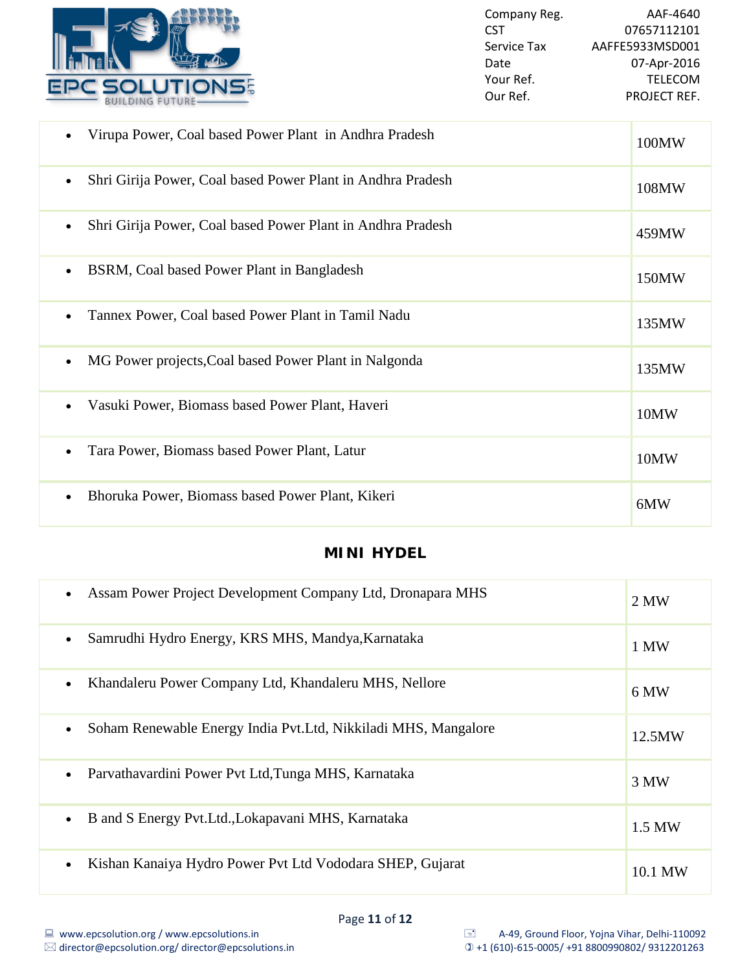

| Virupa Power, Coal based Power Plant in Andhra Pradesh                   | 100MW |
|--------------------------------------------------------------------------|-------|
| Shri Girija Power, Coal based Power Plant in Andhra Pradesh<br>$\bullet$ | 108MW |
| Shri Girija Power, Coal based Power Plant in Andhra Pradesh              | 459MW |
| BSRM, Coal based Power Plant in Bangladesh<br>$\bullet$                  | 150MW |
| Tannex Power, Coal based Power Plant in Tamil Nadu                       | 135MW |
| MG Power projects, Coal based Power Plant in Nalgonda                    | 135MW |
| Vasuki Power, Biomass based Power Plant, Haveri<br>$\bullet$             | 10MW  |
| Tara Power, Biomass based Power Plant, Latur                             | 10MW  |
| Bhoruka Power, Biomass based Power Plant, Kikeri                         | 6MW   |

# **MINI HYDEL**

| Assam Power Project Development Company Ltd, Dronapara MHS      | 2 MW    |
|-----------------------------------------------------------------|---------|
| Samrudhi Hydro Energy, KRS MHS, Mandya, Karnataka               | 1 MW    |
| Khandaleru Power Company Ltd, Khandaleru MHS, Nellore           | 6 MW    |
| Soham Renewable Energy India Pvt. Ltd, Nikkiladi MHS, Mangalore | 12.5MW  |
| Parvathavardini Power Pvt Ltd, Tunga MHS, Karnataka             | 3 MW    |
| B and S Energy Pvt. Ltd., Lokapavani MHS, Karnataka             | 1.5 MW  |
| Kishan Kanaiya Hydro Power Pvt Ltd Vododara SHEP, Gujarat       | 10.1 MW |